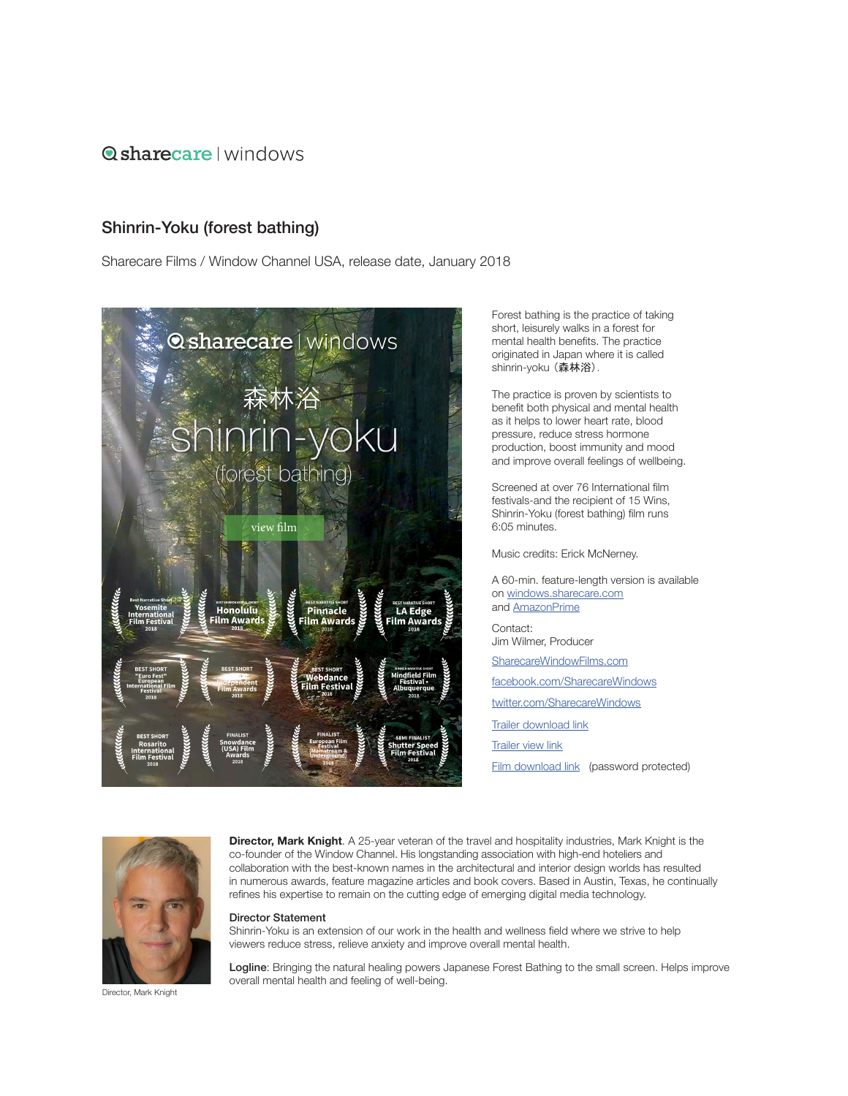## **O**sharecare I windows

## Shinrin-Yoku (forest bathing)

[S](https://windowchannel.vhx.tv)harecare Films / Window Channel USA, release date, January 2018



Forest bathing is the practice of taking short, leisurely walks in a forest for mental health benefits. The practice originated in Japan where it is called shinrin-yoku (森林浴).

The practice is proven by scientists to benefit both physical and mental health as it helps to lower heart rate, blood pressure, reduce stress hormone production, boost immunity and mood and improve overall feelings of wellbeing.

Screened at over 76 International film festivals-and the recipient of 15 Wins, Shinrin-Yoku (forest bathing) film runs 6:05 minutes.

Music credits: Erick McNerney.

Contact: Jim Wilmer, Producer SharecareWindowF[ilms.com](https://sharecarewindowsfilms.com/) [facebook.com/](https://www.facebook.com/TheWindowChannel/)SharecareWindows [twitter.com/S](https://twitter.com/windowchannel)harecareWindows [Trailer download link](Trailer download link: ) [Trailer view link](https://player.vimeo.com/external/235907160.hd.mp4?s=36c0551af4ed2e26ed73f9268df4101f8a235097&profile_id=175:
) [Film download link](https://player.vimeo.com/external/249303525.hd.mp4?s=b9865697be4998257a38acb0248255c4182d59bb&profile_id=175&download=1) (password protected) A 60-min. feature-length version is available on [windows.sharecare.com](http://windows.sharecare.com) and [AmazonPrime](https://amzn.to/2WMBHaI)



**Director, Mark Knight**. A 25-year veteran of the travel and hospitality industries, Mark Knight is the co-founder of the Window Channel. His longstanding association with high-end hoteliers and collaboration with the best-known names in the architectural and interior design worlds has resulted in numerous awards, feature magazine articles and book covers. Based in Austin, Texas, he continually refines his expertise to remain on the cutting edge of emerging digital media technology.

## Director Statement

Shinrin-Yoku is an extension of our work in the health and wellness field where we strive to help viewers reduce stress, relieve anxiety and improve overall mental health.

Logline: Bringing the natural healing powers Japanese Forest Bathing to the small screen. Helps improve overall mental health and feeling of well-being.

Director, Mark Knight